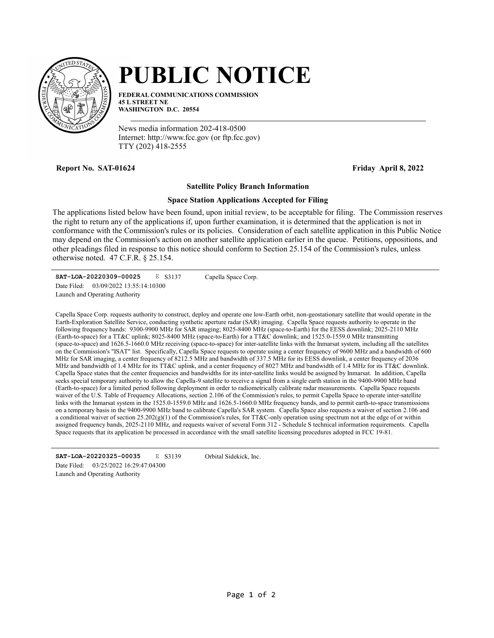

## PUBLIC NOTICE

FEDERAL COMMUNICATIONS COMMISSION 45 L STREET NE WASHINGTON D.C. 20554

News media information 202-418-0500 Internet: http://www.fcc.gov (or ftp.fcc.gov) TTY (202) 418-2555

Report No. SAT-01624 **Friday April 8, 2022** 

## Satellite Policy Branch Information

## Space Station Applications Accepted for Filing

The applications listed below have been found, upon initial review, to be acceptable for filing. The Commission reserves the right to return any of the applications if, upon further examination, it is determined that the application is not in conformance with the Commission's rules or its policies. Consideration of each satellite application in this Public Notice may depend on the Commission's action on another satellite application earlier in the queue. Petitions, oppositions, and other pleadings filed in response to this notice should conform to Section 25.154 of the Commission's rules, unless otherwise noted. 47 C.F.R. § 25.154.

SAT-LOA-20220309-00025 E S3137 Launch and Operating Authority Date Filed: 03/09/2022 13:55:14:10300 Capella Space Corp.

Capella Space Corp. requests authority to construct, deploy and operate one low-Earth orbit, non-geostationary satellite that would operate in the Earth-Exploration Satellite Service, conducting synthetic aperture radar (SAR) imaging. Capella Space requests authority to operate in the following frequency bands: 9300-9900 MHz for SAR imaging; 8025-8400 MHz (space-to-Earth) for the EESS downlink; 2025-2110 MHz (Earth-to-space) for a TT&C uplink; 8025-8400 MHz (space-to-Earth) for a TT&C downlink; and 1525.0-1559.0 MHz transmitting (space-to-space) and 1626.5-1660.0 MHz receiving (space-to-space) for inter-satellite links with the Inmarsat system, including all the satellites on the Commission's "ISAT" list. Specifically, Capella Space requests to operate using a center frequency of 9600 MHz and a bandwidth of 600 MHz for SAR imaging, a center frequency of 8212.5 MHz and bandwidth of 337.5 MHz for its EESS downlink, a center frequency of 2036 MHz and bandwidth of 1.4 MHz for its TT&C uplink, and a center frequency of 8027 MHz and bandwidth of 1.4 MHz for its TT&C downlink. Capella Space states that the center frequencies and bandwidths for its inter-satellite links would be assigned by Inmarsat. In addition, Capella seeks special temporary authority to allow the Capella-9 satellite to receive a signal from a single earth station in the 9400-9900 MHz band (Earth-to-space) for a limited period following deployment in order to radiometrically calibrate radar measurements. Capella Space requests waiver of the U.S. Table of Frequency Allocations, section 2.106 of the Commission's rules, to permit Capella Space to operate inter-satellite links with the Inmarsat system in the 1525.0-1559.0 MHz and 1626.5-1660.0 MHz frequency bands, and to permit earth-to-space transmissions on a temporary basis in the 9400-9900 MHz band to calibrate Capella's SAR system. Capella Space also requests a waiver of section 2.106 and a conditional waiver of section  $25.202(g)(1)$  of the Commission's rules, for TT&C-only operation using spectrum not at the edge of or within assigned frequency bands, 2025-2110 MHz, and requests waiver of several Form 312 - Schedule S technical information requirements. Capella Space requests that its application be processed in accordance with the small satellite licensing procedures adopted in FCC 19-81.

SAT-LOA-20220325-00035 E S3139 Launch and Operating Authority Date Filed: 03/25/2022 16:29:47:04300

Orbital Sidekick, Inc.